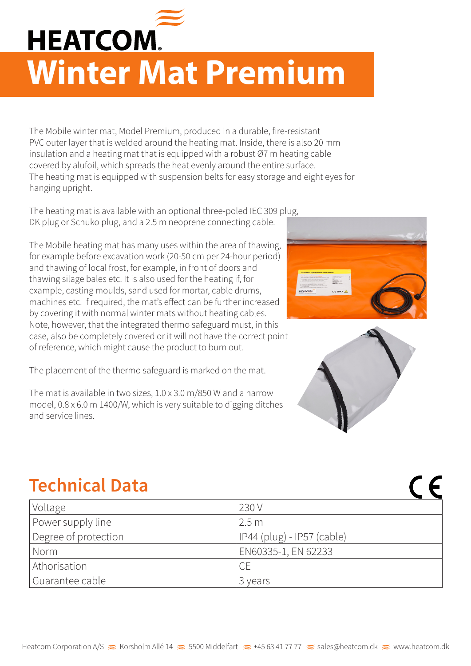

## **HEATCOM. Winter Mat Premium**

The Mobile winter mat, Model Premium, produced in a durable, fire-resistant PVC outer layer that is welded around the heating mat. Inside, there is also 20 mm insulation and a heating mat that is equipped with a robust Ø7 m heating cable covered by alufoil, which spreads the heat evenly around the entire surface. The heating mat is equipped with suspension belts for easy storage and eight eyes for hanging upright.

The heating mat is available with an optional three-poled IEC 309 plug, DK plug or Schuko plug, and a 2.5 m neoprene connecting cable.

The Mobile heating mat has many uses within the area of thawing, for example before excavation work (20-50 cm per 24-hour period) and thawing of local frost, for example, in front of doors and thawing silage bales etc. It is also used for the heating if, for example, casting moulds, sand used for mortar, cable drums, machines etc. If required, the mat's effect can be further increased by covering it with normal winter mats without heating cables. Note, however, that the integrated thermo safeguard must, in this case, also be completely covered or it will not have the correct point of reference, which might cause the product to burn out.

The placement of the thermo safeguard is marked on the mat.

The mat is available in two sizes, 1.0 x 3.0 m/850 W and a narrow model, 0.8 x 6.0 m 1400/W, which is very suitable to digging ditches and service lines.





 $C \in$ 

## **Technical Data**

| Voltage              | 230 V                      |
|----------------------|----------------------------|
| Power supply line    | 2.5m                       |
| Degree of protection | IP44 (plug) - IP57 (cable) |
| Norm                 | EN60335-1, EN 62233        |
| Athorisation         | <b>CE</b>                  |
| Guarantee cable      | 3 years                    |